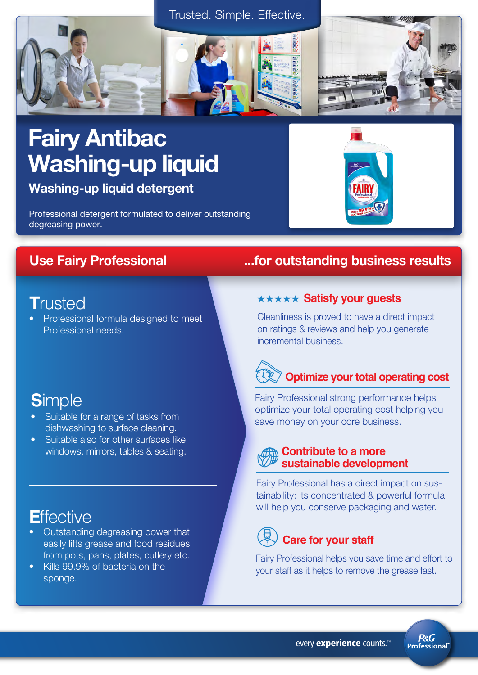



### Fairy Antibac Washing-up liquid

Washing-up liquid detergent

Professional detergent formulated to deliver outstanding degreasing power.

### **T**rusted

• Professional formula designed to meet Professional needs.

### **S**imple

- Suitable for a range of tasks from dishwashing to surface cleaning.
- Suitable also for other surfaces like windows, mirrors, tables & seating.

### **E**ffective

- Outstanding degreasing power that easily lifts grease and food residues from pots, pans, plates, cutlery etc.
- Kills 99.9% of bacteria on the sponge.

### Use Fairy Professional ...for outstanding business results

#### **\*\*\*\*\* Satisfy your guests**

Cleanliness is proved to have a direct impact on ratings & reviews and help you generate incremental business.

## **Optimize your total operating cost**

Fairy Professional strong performance helps optimize your total operating cost helping you save money on your core business.

### **Contribute to a more sustainable development**

Fairy Professional has a direct impact on sustainability: its concentrated & powerful formula will help you conserve packaging and water.

### **Care for your staff**

Fairy Professional helps you save time and effort to your staff as it helps to remove the grease fast.

> **P&G Professional**